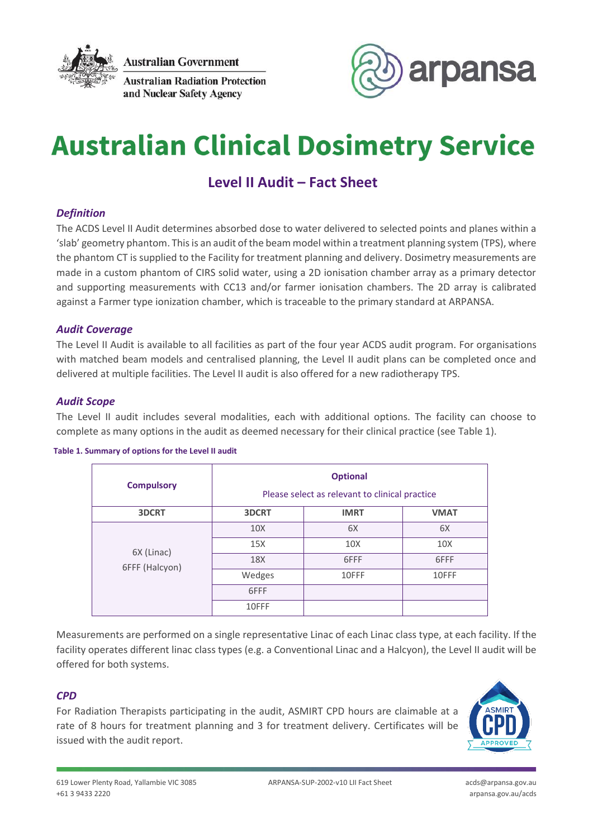

**Australian Government** 





# **Australian Clinical Dosimetry Service**

# **Level II Audit – Fact Sheet**

## *Definition*

The ACDS Level II Audit determines absorbed dose to water delivered to selected points and planes within a 'slab' geometry phantom. This is an audit of the beam model within a treatment planning system (TPS), where the phantom CT is supplied to the Facility for treatment planning and delivery. Dosimetry measurements are made in a custom phantom of CIRS solid water, using a 2D ionisation chamber array as a primary detector and supporting measurements with CC13 and/or farmer ionisation chambers. The 2D array is calibrated against a Farmer type ionization chamber, which is traceable to the primary standard at ARPANSA.

#### *Audit Coverage*

The Level II Audit is available to all facilities as part of the four year ACDS audit program. For organisations with matched beam models and centralised planning, the Level II audit plans can be completed once and delivered at multiple facilities. The Level II audit is also offered for a new radiotherapy TPS.

#### *Audit Scope*

The Level II audit includes several modalities, each with additional options. The facility can choose to complete as many options in the audit as deemed necessary for their clinical practice (see Table 1).

#### **Table 1. Summary of options for the Level II audit**

| <b>Compulsory</b>            | <b>Optional</b><br>Please select as relevant to clinical practice |                 |                 |
|------------------------------|-------------------------------------------------------------------|-----------------|-----------------|
| 3DCRT                        | <b>3DCRT</b>                                                      | <b>IMRT</b>     | <b>VMAT</b>     |
| 6X (Linac)<br>6FFF (Halcyon) | 10 <sub>X</sub>                                                   | 6X              | 6X              |
|                              | 15X                                                               | 10 <sub>X</sub> | 10 <sub>X</sub> |
|                              | 18X                                                               | 6FFF            | 6FFF            |
|                              | Wedges                                                            | 10FFF           | 10FFF           |
|                              | 6FFF                                                              |                 |                 |
|                              | 10FFF                                                             |                 |                 |

Measurements are performed on a single representative Linac of each Linac class type, at each facility. If the facility operates different linac class types (e.g. a Conventional Linac and a Halcyon), the Level II audit will be offered for both systems.

#### *CPD*

For Radiation Therapists participating in the audit, ASMIRT CPD hours are claimable at a rate of 8 hours for treatment planning and 3 for treatment delivery. Certificates will be issued with the audit report.